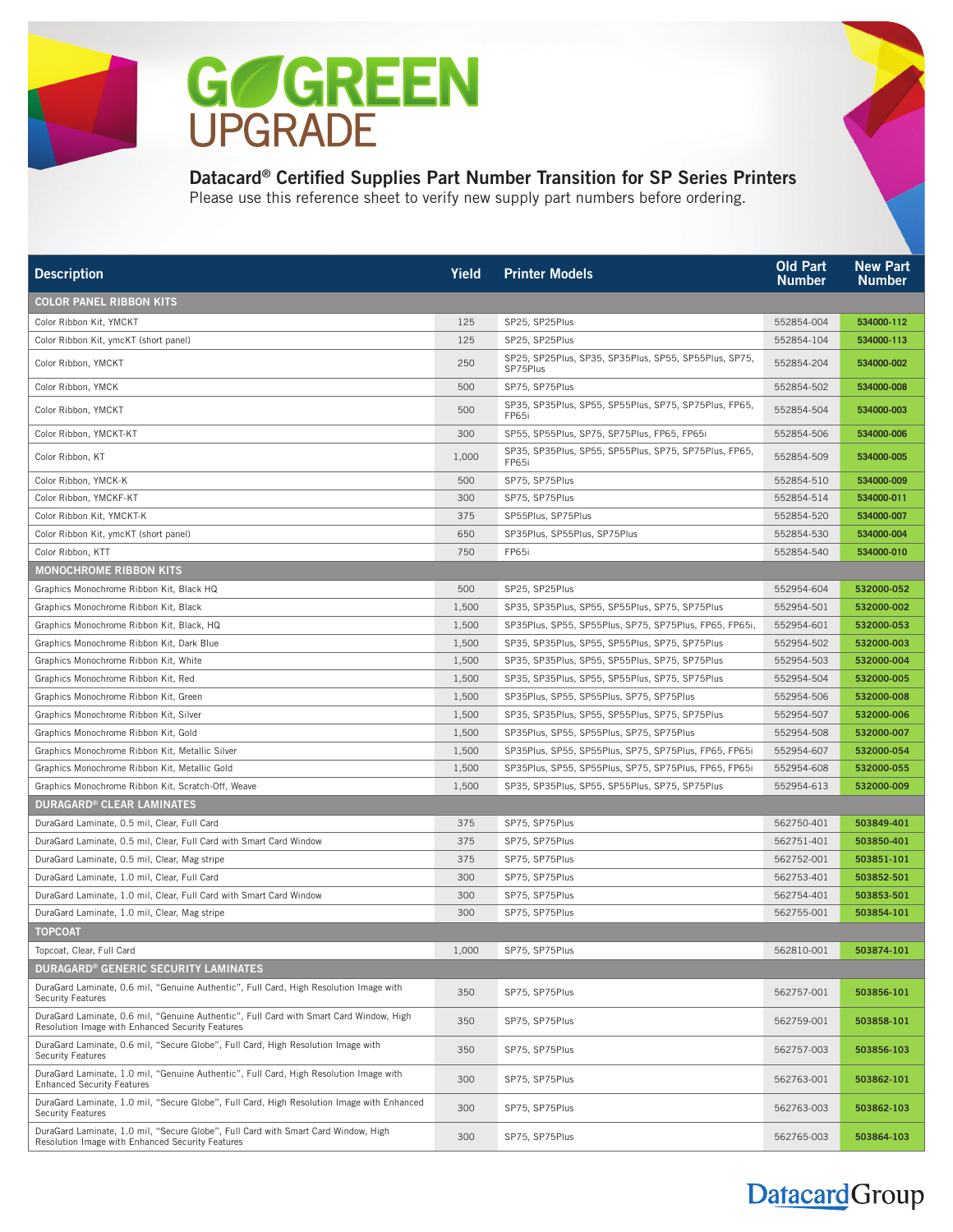

## Datacard® Certified Supplies Part Number Transition for SP Series Printers

Please use this reference sheet to verify new supply part numbers before ordering.

| <b>Description</b>                                                                                                                          | Yield | <b>Printer Models</b>                                             | <b>Old Part</b><br><b>Number</b> | <b>New Part</b><br><b>Number</b> |
|---------------------------------------------------------------------------------------------------------------------------------------------|-------|-------------------------------------------------------------------|----------------------------------|----------------------------------|
| COLOR PANEL RIBBON KITS                                                                                                                     |       |                                                                   |                                  |                                  |
| Color Ribbon Kit, YMCKT                                                                                                                     | 125   | SP25, SP25Plus                                                    | 552854-004                       | 534000-112                       |
| Color Ribbon Kit, ymcKT (short panel)                                                                                                       | 125   | SP25, SP25Plus                                                    | 552854-104                       | 534000-113                       |
| Color Ribbon, YMCKT                                                                                                                         | 250   | SP25, SP25Plus, SP35, SP35Plus, SP55, SP55Plus, SP75,<br>SP75Plus | 552854-204                       | 534000-002                       |
| Color Ribbon, YMCK                                                                                                                          | 500   | SP75, SP75Plus                                                    | 552854-502                       | 534000-008                       |
| Color Ribbon, YMCKT                                                                                                                         | 500   | SP35, SP35Plus, SP55, SP55Plus, SP75, SP75Plus, FP65,<br>FP65i    | 552854-504                       | 534000-003                       |
| Color Ribbon, YMCKT-KT                                                                                                                      | 300   | SP55, SP55Plus, SP75, SP75Plus, FP65, FP65i                       | 552854-506                       | 534000-006                       |
| Color Ribbon, KT                                                                                                                            | 1,000 | SP35, SP35Plus, SP55, SP55Plus, SP75, SP75Plus, FP65,<br>FP65i    | 552854-509                       | 534000-005                       |
| Color Ribbon, YMCK-K                                                                                                                        | 500   | SP75, SP75Plus                                                    | 552854-510                       | 534000-009                       |
| Color Ribbon, YMCKF-KT                                                                                                                      | 300   | SP75, SP75Plus                                                    | 552854-514                       | 534000-011                       |
| Color Ribbon Kit, YMCKT-K                                                                                                                   | 375   | SP55Plus, SP75Plus                                                | 552854-520                       | 534000-007                       |
| Color Ribbon Kit, ymcKT (short panel)                                                                                                       | 650   | SP35Plus, SP55Plus, SP75Plus                                      | 552854-530                       | 534000-004                       |
| Color Ribbon, KTT                                                                                                                           | 750   | FP65i                                                             | 552854-540                       | 534000-010                       |
| <b>MONOCHROME RIBBON KITS</b>                                                                                                               |       |                                                                   |                                  |                                  |
| Graphics Monochrome Ribbon Kit, Black HQ                                                                                                    | 500   | SP25, SP25Plus                                                    | 552954-604                       | 532000-052                       |
| Graphics Monochrome Ribbon Kit, Black                                                                                                       | 1,500 | SP35, SP35Plus, SP55, SP55Plus, SP75, SP75Plus                    | 552954-501                       | 532000-002                       |
| Graphics Monochrome Ribbon Kit, Black, HQ                                                                                                   | 1,500 | SP35Plus, SP55, SP55Plus, SP75, SP75Plus, FP65, FP65i,            | 552954-601                       | 532000-053                       |
| Graphics Monochrome Ribbon Kit, Dark Blue                                                                                                   | 1,500 | SP35, SP35Plus, SP55, SP55Plus, SP75, SP75Plus                    | 552954-502                       | 532000-003                       |
| Graphics Monochrome Ribbon Kit, White                                                                                                       | 1,500 | SP35, SP35Plus, SP55, SP55Plus, SP75, SP75Plus                    | 552954-503                       | 532000-004                       |
| Graphics Monochrome Ribbon Kit, Red                                                                                                         | 1,500 | SP35, SP35Plus, SP55, SP55Plus, SP75, SP75Plus                    | 552954-504                       | 532000-005                       |
| Graphics Monochrome Ribbon Kit, Green                                                                                                       | 1,500 | SP35Plus, SP55, SP55Plus, SP75, SP75Plus                          | 552954-506                       | 532000-008                       |
| Graphics Monochrome Ribbon Kit, Silver                                                                                                      | 1,500 | SP35, SP35Plus, SP55, SP55Plus, SP75, SP75Plus                    | 552954-507                       | 532000-006                       |
| Graphics Monochrome Ribbon Kit, Gold                                                                                                        | 1,500 | SP35Plus, SP55, SP55Plus, SP75, SP75Plus                          | 552954-508                       | 532000-007                       |
| Graphics Monochrome Ribbon Kit, Metallic Silver                                                                                             | 1,500 | SP35Plus, SP55, SP55Plus, SP75, SP75Plus, FP65, FP65i             | 552954-607                       | 532000-054                       |
| Graphics Monochrome Ribbon Kit, Metallic Gold                                                                                               | 1,500 | SP35Plus, SP55, SP55Plus, SP75, SP75Plus, FP65, FP65i             | 552954-608                       | 532000-055                       |
| Graphics Monochrome Ribbon Kit, Scratch-Off, Weave                                                                                          | 1,500 | SP35, SP35Plus, SP55, SP55Plus, SP75, SP75Plus                    | 552954-613                       | 532000-009                       |
| <b>DURAGARD® CLEAR LAMINATES</b>                                                                                                            |       |                                                                   |                                  |                                  |
| DuraGard Laminate, 0.5 mil, Clear, Full Card                                                                                                | 375   | SP75, SP75Plus                                                    | 562750-401                       | 503849-401                       |
| DuraGard Laminate, 0.5 mil, Clear, Full Card with Smart Card Window                                                                         | 375   | SP75, SP75Plus                                                    | 562751-401                       | 503850-401                       |
| DuraGard Laminate, 0.5 mil, Clear, Mag stripe                                                                                               | 375   | SP75, SP75Plus                                                    | 562752-001                       | 503851-101                       |
| DuraGard Laminate, 1.0 mil, Clear, Full Card                                                                                                | 300   | SP75, SP75Plus                                                    | 562753-401                       | 503852-501                       |
| DuraGard Laminate, 1.0 mil, Clear, Full Card with Smart Card Window                                                                         | 300   | SP75, SP75Plus                                                    | 562754-401                       | 503853-501                       |
| DuraGard Laminate, 1.0 mil, Clear, Mag stripe                                                                                               | 300   | SP75, SP75Plus                                                    | 562755-001                       | 503854-101                       |
| <b>TOPCOAT</b>                                                                                                                              |       |                                                                   |                                  |                                  |
| Topcoat, Clear, Full Card                                                                                                                   | 1,000 | SP75, SP75Plus                                                    | 562810-001                       | 503874-101                       |
| <b>DURAGARD® GENERIC SECURITY LAMINATES</b>                                                                                                 |       |                                                                   |                                  |                                  |
| DuraGard Laminate, 0.6 mil, "Genuine Authentic", Full Card, High Resolution Image with<br><b>Security Features</b>                          | 350   | SP75, SP75Plus                                                    | 562757-001                       | 503856-101                       |
| DuraGard Laminate, 0.6 mil, "Genuine Authentic", Full Card with Smart Card Window, High<br>Resolution Image with Enhanced Security Features | 350   | SP75, SP75Plus                                                    | 562759-001                       | 503858-101                       |
| DuraGard Laminate, 0.6 mil, "Secure Globe", Full Card, High Resolution Image with<br><b>Security Features</b>                               | 350   | SP75, SP75Plus                                                    | 562757-003                       | 503856-103                       |
| DuraGard Laminate, 1.0 mil, "Genuine Authentic", Full Card, High Resolution Image with<br><b>Enhanced Security Features</b>                 | 300   | SP75, SP75Plus                                                    | 562763-001                       | 503862-101                       |
| DuraGard Laminate, 1.0 mil, "Secure Globe", Full Card, High Resolution Image with Enhanced<br><b>Security Features</b>                      | 300   | SP75, SP75Plus                                                    | 562763-003                       | 503862-103                       |
| DuraGard Laminate, 1.0 mil, "Secure Globe", Full Card with Smart Card Window, High<br>Resolution Image with Enhanced Security Features      | 300   | SP75, SP75Plus                                                    | 562765-003                       | 503864-103                       |

# Datacard Group